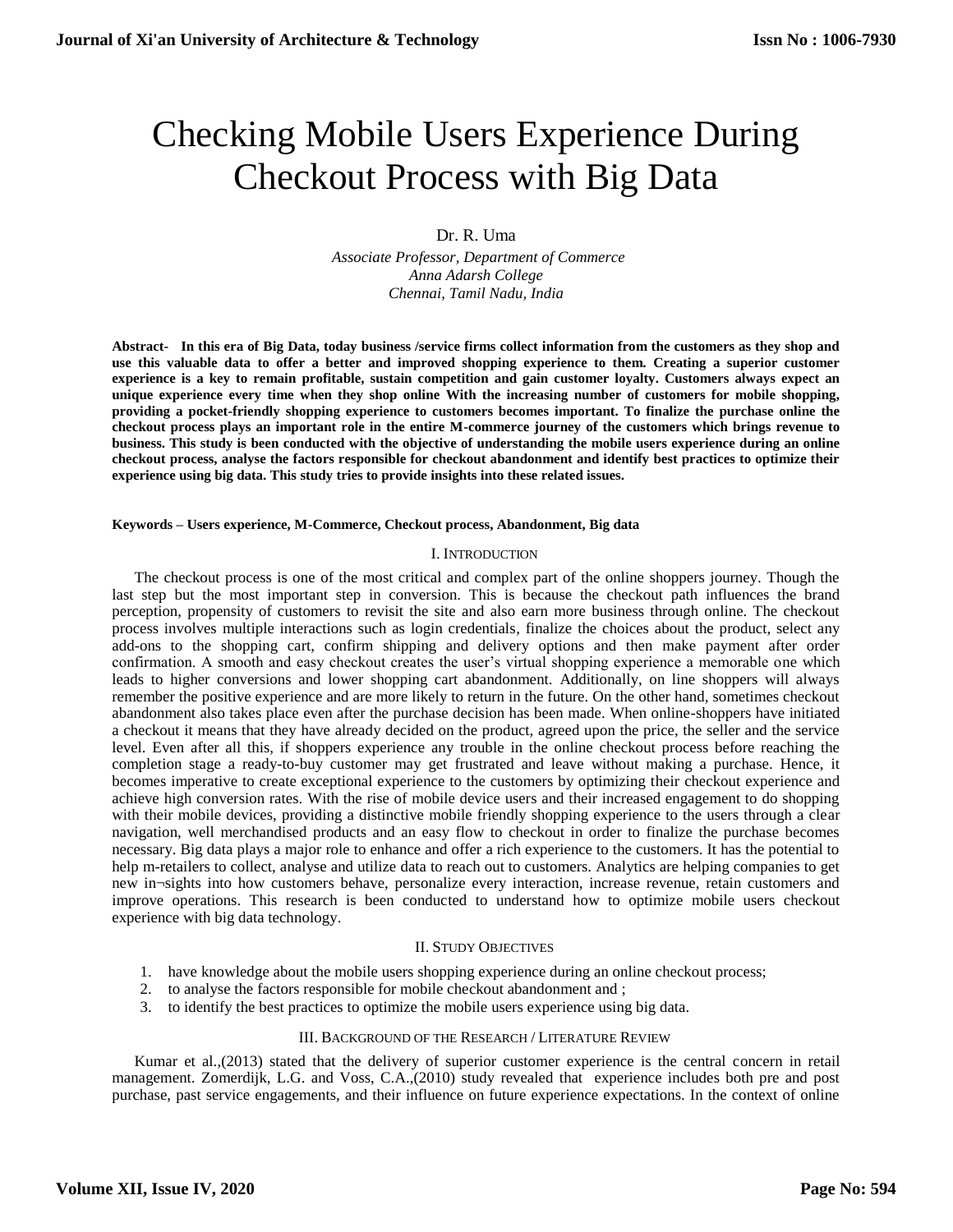# Checking Mobile Users Experience During Checkout Process with Big Data

Dr. R. Uma

 *Associate Professor, Department of Commerce Anna Adarsh College Chennai, Tamil Nadu, India*

**Abstract- In this era of Big Data, today business /service firms collect information from the customers as they shop and use this valuable data to offer a better and improved shopping experience to them. Creating a superior customer experience is a key to remain profitable, sustain competition and gain customer loyalty. Customers always expect an unique experience every time when they shop online With the increasing number of customers for mobile shopping, providing a pocket-friendly shopping experience to customers becomes important. To finalize the purchase online the checkout process plays an important role in the entire M-commerce journey of the customers which brings revenue to business. This study is been conducted with the objective of understanding the mobile users experience during an online checkout process, analyse the factors responsible for checkout abandonment and identify best practices to optimize their experience using big data. This study tries to provide insights into these related issues.**

## **Keywords – Users experience, M-Commerce, Checkout process, Abandonment, Big data**

## I. INTRODUCTION

The checkout process is one of the most critical and complex part of the online shoppers journey. Though the last step but the most important step in conversion. This is because the checkout path influences the brand perception, propensity of customers to revisit the site and also earn more business through online. The checkout process involves multiple interactions such as login credentials, finalize the choices about the product, select any add-ons to the shopping cart, confirm shipping and delivery options and then make payment after order confirmation. A smooth and easy checkout creates the user's virtual shopping experience a memorable one which leads to higher conversions and lower shopping cart abandonment. Additionally, on line shoppers will always remember the positive experience and are more likely to return in the future. On the other hand, sometimes checkout abandonment also takes place even after the purchase decision has been made. When online-shoppers have initiated a checkout it means that they have already decided on the product, agreed upon the price, the seller and the service level. Even after all this, if shoppers experience any trouble in the online checkout process before reaching the completion stage a ready-to-buy customer may get frustrated and leave without making a purchase. Hence, it becomes imperative to create exceptional experience to the customers by optimizing their checkout experience and achieve high conversion rates. With the rise of mobile device users and their increased engagement to do shopping with their mobile devices, providing a distinctive mobile friendly shopping experience to the users through a clear navigation, well merchandised products and an easy flow to checkout in order to finalize the purchase becomes necessary. Big data plays a major role to enhance and offer a rich experience to the customers. It has the potential to help m-retailers to collect, analyse and utilize data to reach out to customers. Analytics are helping companies to get new in¬sights into how customers behave, personalize every interaction, increase revenue, retain customers and improve operations. This research is been conducted to understand how to optimize mobile users checkout experience with big data technology.

## II. STUDY OBJECTIVES

- 1. have knowledge about the mobile users shopping experience during an online checkout process;
- 2. to analyse the factors responsible for mobile checkout abandonment and ;
- 3. to identify the best practices to optimize the mobile users experience using big data.

#### III. BACKGROUND OF THE RESEARCH / LITERATURE REVIEW

Kumar et al.,(2013) stated that the delivery of superior customer experience is the central concern in retail management. Zomerdijk, L.G. and Voss, C.A.,(2010) study revealed that experience includes both pre and post purchase, past service engagements, and their influence on future experience expectations. In the context of online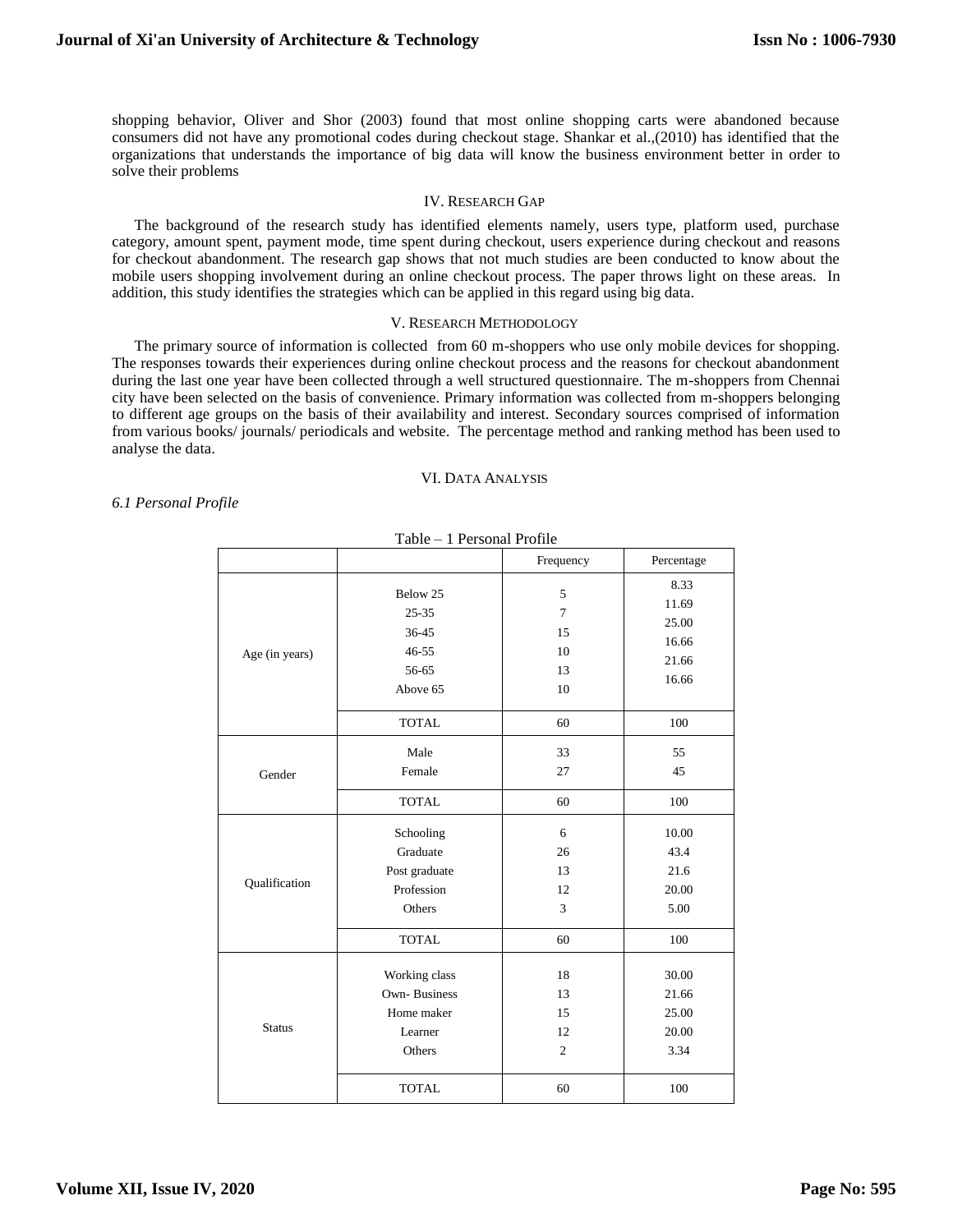shopping behavior, Oliver and Shor (2003) found that most online shopping carts were abandoned because consumers did not have any promotional codes during checkout stage. Shankar et al.,(2010) has identified that the organizations that understands the importance of big data will know the business environment better in order to solve their problems

## IV. RESEARCH GAP

The background of the research study has identified elements namely, users type, platform used, purchase category, amount spent, payment mode, time spent during checkout, users experience during checkout and reasons for checkout abandonment. The research gap shows that not much studies are been conducted to know about the mobile users shopping involvement during an online checkout process. The paper throws light on these areas. In addition, this study identifies the strategies which can be applied in this regard using big data.

#### V. RESEARCH METHODOLOGY

The primary source of information is collected from 60 m-shoppers who use only mobile devices for shopping. The responses towards their experiences during online checkout process and the reasons for checkout abandonment during the last one year have been collected through a well structured questionnaire. The m-shoppers from Chennai city have been selected on the basis of convenience. Primary information was collected from m-shoppers belonging to different age groups on the basis of their availability and interest. Secondary sources comprised of information from various books/ journals/ periodicals and website. The percentage method and ranking method has been used to analyse the data.

## VI. DATA ANALYSIS

*6.1 Personal Profile*

| Table - 1 Personal Profile |                     |                |            |  |
|----------------------------|---------------------|----------------|------------|--|
|                            |                     | Frequency      | Percentage |  |
| Age (in years)             | Below 25            | 5              | 8.33       |  |
|                            | $25 - 35$           | $\tau$         | 11.69      |  |
|                            | 36-45               | 15             | 25.00      |  |
|                            | $46 - 55$           | 10             | 16.66      |  |
|                            | 56-65               | 13             | 21.66      |  |
|                            | Above 65            | 10             | 16.66      |  |
|                            | <b>TOTAL</b>        | 60             | 100        |  |
| Gender                     | Male                | 33             | 55         |  |
|                            | Female              | 27             | 45         |  |
|                            | <b>TOTAL</b>        | 60             | 100        |  |
| Qualification              | Schooling           | 6              | 10.00      |  |
|                            | Graduate            | 26             | 43.4       |  |
|                            | Post graduate       | 13             | 21.6       |  |
|                            | Profession          | 12             | 20.00      |  |
|                            | Others              | 3              | 5.00       |  |
|                            | <b>TOTAL</b>        | 60             | 100        |  |
| <b>Status</b>              | Working class       | 18             | 30.00      |  |
|                            | <b>Own-Business</b> | 13             | 21.66      |  |
|                            | Home maker          | 15             | 25.00      |  |
|                            | Learner             | 12             | 20.00      |  |
|                            | Others              | $\overline{2}$ | 3.34       |  |
|                            | <b>TOTAL</b>        | 60             | $100\,$    |  |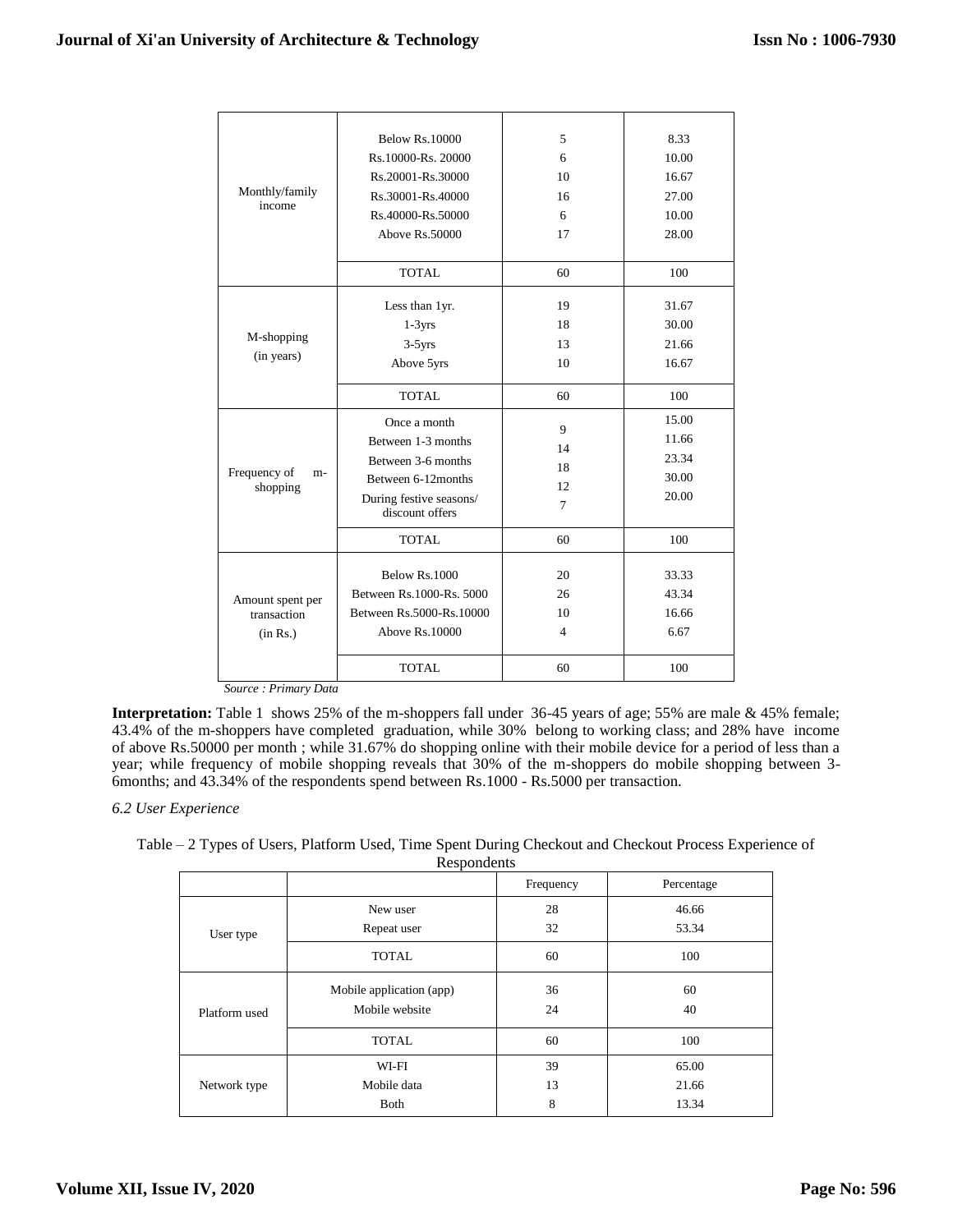|                                 | <b>Below Rs.10000</b>     | 5      | 8.33  |
|---------------------------------|---------------------------|--------|-------|
|                                 | Rs.10000-Rs. 20000        | 6      | 10.00 |
|                                 | Rs.20001-Rs.30000         | 10     | 16.67 |
| Monthly/family<br>income        | Rs.30001-Rs.40000         | 16     | 27.00 |
|                                 | Rs.40000-Rs.50000         | 6      | 10.00 |
|                                 | Above Rs.50000            | 17     | 28.00 |
|                                 |                           |        |       |
|                                 | TOTAL                     | 60     | 100   |
|                                 | Less than 1yr.            | 19     | 31.67 |
|                                 | $1-3yrs$                  | 18     | 30.00 |
| M-shopping                      | $3-5$ yrs                 | 13     | 21.66 |
| (in years)                      | Above 5yrs                | 10     | 16.67 |
|                                 |                           |        |       |
|                                 | <b>TOTAL</b>              | 60     | 100   |
|                                 | Once a month              | 9      | 15.00 |
|                                 | Between 1-3 months        | 14     | 11.66 |
|                                 | Between 3-6 months        | 18     | 23.34 |
| Frequency of<br>m-<br>shopping  | Between 6-12months        | 12     | 30.00 |
|                                 | During festive seasons/   | $\tau$ | 20.00 |
|                                 | discount offers           |        |       |
|                                 | <b>TOTAL</b>              | 60     | 100   |
|                                 | Below Rs.1000             | 20     | 33.33 |
| Amount spent per<br>transaction | Between Rs. 1000-Rs. 5000 | 26     | 43.34 |
|                                 | Between Rs.5000-Rs.10000  | 10     | 16.66 |
|                                 | Above Rs.10000            | 4      | 6.67  |
| (in Rs.)                        |                           |        |       |
|                                 | <b>TOTAL</b>              | 60     | 100   |
| Source: Primary Data            |                           |        |       |

**Interpretation:** Table 1 shows 25% of the m-shoppers fall under 36-45 years of age; 55% are male & 45% female; 43.4% of the m-shoppers have completed graduation, while 30% belong to working class; and 28% have income of above Rs.50000 per month ; while 31.67% do shopping online with their mobile device for a period of less than a year; while frequency of mobile shopping reveals that 30% of the m-shoppers do mobile shopping between 3- 6months; and 43.34% of the respondents spend between Rs.1000 - Rs.5000 per transaction.

## *6.2 User Experience*

| Respondents   |                          |           |            |  |
|---------------|--------------------------|-----------|------------|--|
|               |                          | Frequency | Percentage |  |
|               | New user                 | 28        | 46.66      |  |
| User type     | Repeat user              | 32        | 53.34      |  |
|               | <b>TOTAL</b>             | 60        | 100        |  |
| Platform used | Mobile application (app) | 36        | 60         |  |
|               | Mobile website           | 24        | 40         |  |
|               | <b>TOTAL</b>             | 60        | 100        |  |
| Network type  | WI-FI                    | 39        | 65.00      |  |
|               | Mobile data              | 13        | 21.66      |  |
|               | Both                     | 8         | 13.34      |  |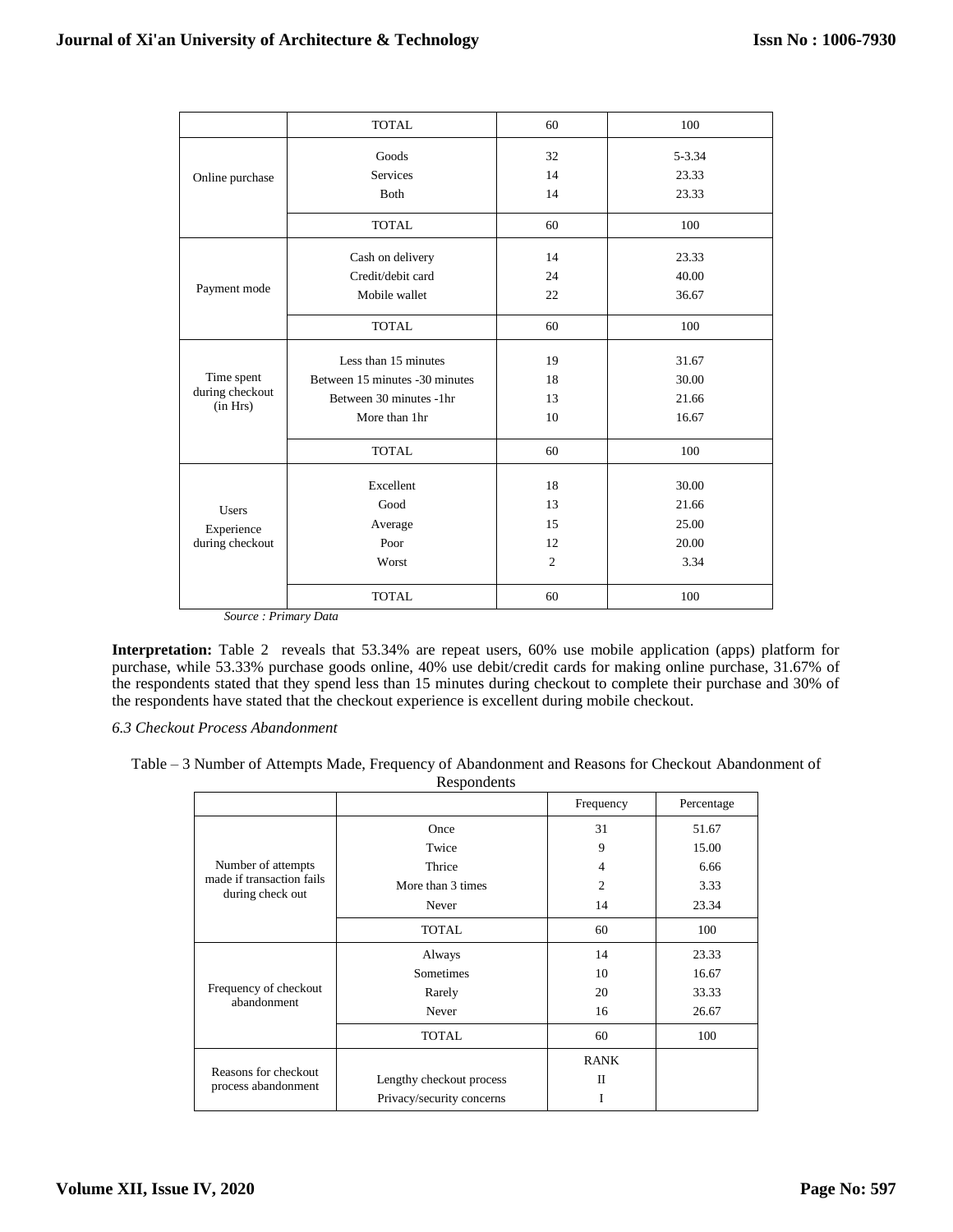|                 | <b>TOTAL</b>                   | 60             | 100    |
|-----------------|--------------------------------|----------------|--------|
|                 | Goods                          | 32             | 5-3.34 |
| Online purchase | <b>Services</b>                | 14             | 23.33  |
|                 | <b>Both</b>                    | 14             | 23.33  |
|                 | <b>TOTAL</b>                   | 60             | 100    |
|                 | Cash on delivery               | 14             | 23.33  |
|                 | Credit/debit card              | 24             | 40.00  |
| Payment mode    | Mobile wallet                  | 22             | 36.67  |
|                 | <b>TOTAL</b>                   | 60             | 100    |
|                 | Less than 15 minutes           | 19             | 31.67  |
| Time spent      | Between 15 minutes -30 minutes | 18             | 30.00  |
| during checkout | Between 30 minutes -1hr        | 13             | 21.66  |
| (in Hrs)        | More than 1hr                  | 10             | 16.67  |
|                 | <b>TOTAL</b>                   | 60             | 100    |
|                 | Excellent                      | 18             | 30.00  |
| Users           | Good                           | 13             | 21.66  |
| Experience      | Average                        | 15             | 25.00  |
| during checkout | Poor                           | 12             | 20.00  |
|                 | Worst                          | $\overline{c}$ | 3.34   |
|                 | <b>TOTAL</b>                   | 60             | 100    |

*Source : Primary Data*

**Interpretation:** Table 2 reveals that 53.34% are repeat users, 60% use mobile application (apps) platform for purchase, while 53.33% purchase goods online, 40% use debit/credit cards for making online purchase, 31.67% of the respondents stated that they spend less than 15 minutes during checkout to complete their purchase and 30% of the respondents have stated that the checkout experience is excellent during mobile checkout.

# *6.3 Checkout Process Abandonment*

Table – 3 Number of Attempts Made, Frequency of Abandonment and Reasons for Checkout Abandonment of **Respondents** 

|                                               |                           | Frequency      | Percentage |
|-----------------------------------------------|---------------------------|----------------|------------|
|                                               | Once                      | 31             | 51.67      |
|                                               | Twice                     | 9              | 15.00      |
| Number of attempts                            | Thrice                    | $\overline{4}$ | 6.66       |
| made if transaction fails<br>during check out | More than 3 times         | $\overline{c}$ | 3.33       |
|                                               | Never                     | 14             | 23.34      |
|                                               | <b>TOTAL</b>              | 60             | 100        |
|                                               | Always                    | 14             | 23.33      |
| Frequency of checkout<br>abandonment          | Sometimes                 | 10             | 16.67      |
|                                               | Rarely                    | 20             | 33.33      |
|                                               | Never                     | 16             | 26.67      |
|                                               | <b>TOTAL</b>              | 60             | 100        |
|                                               |                           | <b>RANK</b>    |            |
| Reasons for checkout<br>process abandonment   | Lengthy checkout process  | $_{\rm II}$    |            |
|                                               | Privacy/security concerns | I              |            |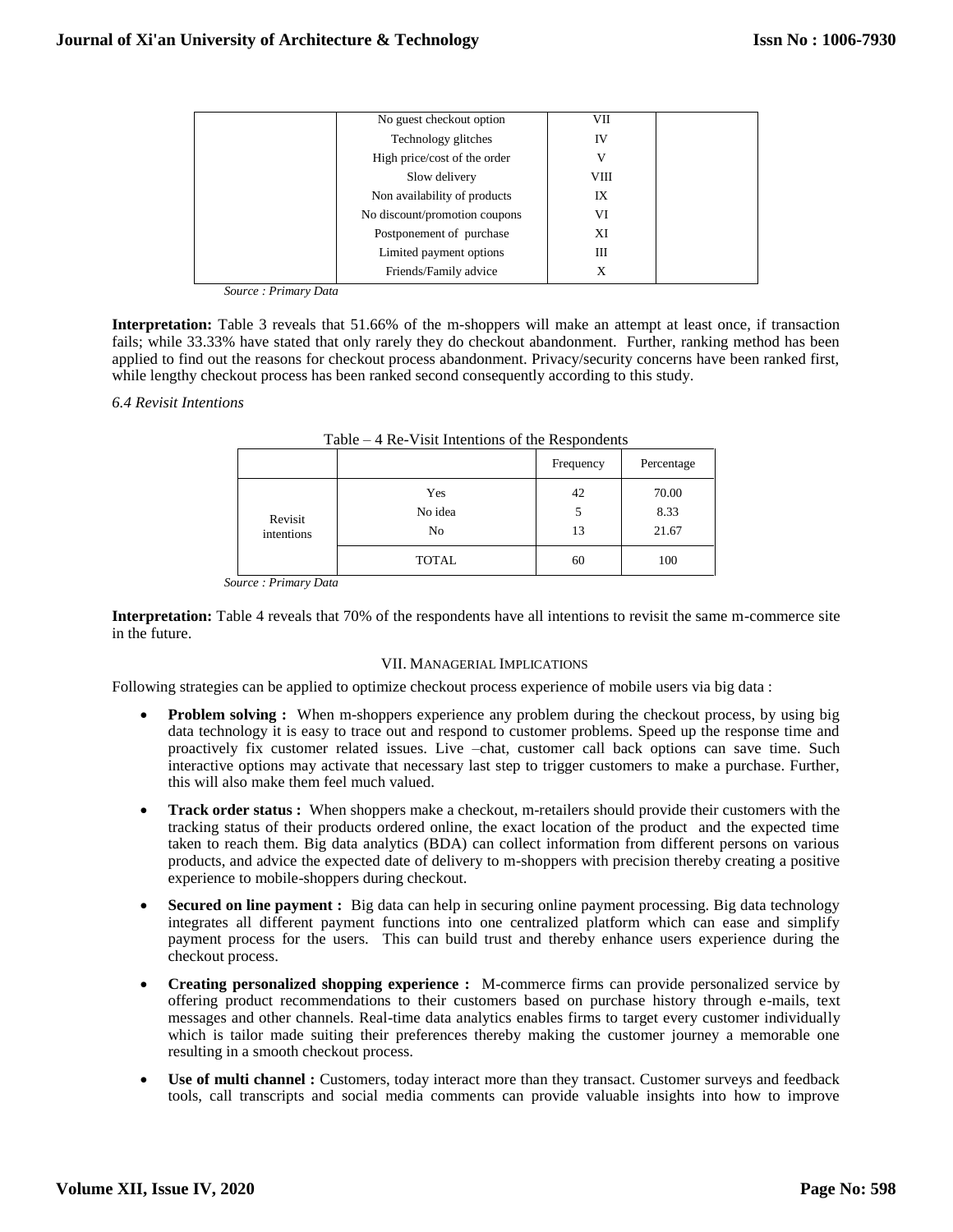| No guest checkout option      | VII  |  |
|-------------------------------|------|--|
| Technology glitches           | IV   |  |
| High price/cost of the order  | V    |  |
| Slow delivery                 | VIII |  |
| Non availability of products  | IX   |  |
| No discount/promotion coupons | VI   |  |
| Postponement of purchase      | XI   |  |
| Limited payment options       | Ш    |  |
| Friends/Family advice         | X    |  |

*Source : Primary Data*

**Interpretation:** Table 3 reveals that 51.66% of the m-shoppers will make an attempt at least once, if transaction fails; while 33.33% have stated that only rarely they do checkout abandonment. Further, ranking method has been applied to find out the reasons for checkout process abandonment. Privacy/security concerns have been ranked first, while lengthy checkout process has been ranked second consequently according to this study.

## *6.4 Revisit Intentions*

|                       |                                  | Frequency | Percentage             |
|-----------------------|----------------------------------|-----------|------------------------|
| Revisit<br>intentions | Yes<br>No idea<br>N <sub>o</sub> | 42<br>13  | 70.00<br>8.33<br>21.67 |
|                       | TOTAL                            | 60        | 100                    |

| Table $-4$ Re-Visit Intentions of the Respondents |  |  |  |
|---------------------------------------------------|--|--|--|
|---------------------------------------------------|--|--|--|

*Source : Primary Data*

**Interpretation:** Table 4 reveals that 70% of the respondents have all intentions to revisit the same m-commerce site in the future.

## VII. MANAGERIAL IMPLICATIONS

Following strategies can be applied to optimize checkout process experience of mobile users via big data :

- **Problem solving :** When m-shoppers experience any problem during the checkout process, by using big data technology it is easy to trace out and respond to customer problems. Speed up the response time and proactively fix customer related issues. Live –chat, customer call back options can save time. Such interactive options may activate that necessary last step to trigger customers to make a purchase. Further, this will also make them feel much valued.
- **Track order status :** When shoppers make a checkout, m-retailers should provide their customers with the tracking status of their products ordered online, the exact location of the product and the expected time taken to reach them. Big data analytics (BDA) can collect information from different persons on various products, and advice the expected date of delivery to m-shoppers with precision thereby creating a positive experience to mobile-shoppers during checkout.
- **Secured on line payment :** Big data can help in securing online payment processing. Big data technology integrates all different payment functions into one centralized platform which can ease and simplify payment process for the users. This can build trust and thereby enhance users experience during the checkout process.
- **Creating personalized shopping experience :** M-commerce firms can provide personalized service by offering product recommendations to their customers based on purchase history through e-mails, text messages and other channels. Real-time data analytics enables firms to target every customer individually which is tailor made suiting their preferences thereby making the customer journey a memorable one resulting in a smooth checkout process.
- **Use of multi channel :** Customers, today interact more than they transact. Customer surveys and feedback tools, call transcripts and social media comments can provide valuable insights into how to improve